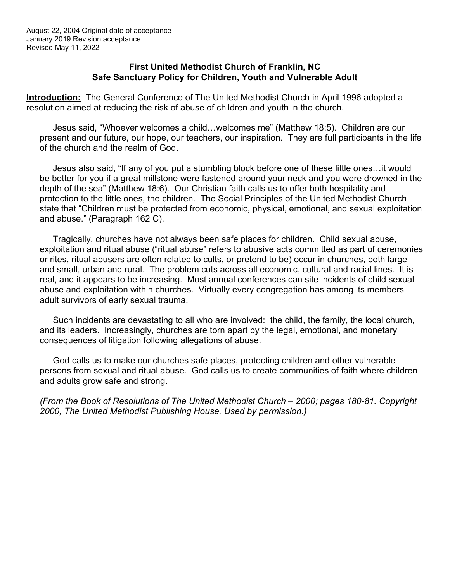#### **First United Methodist Church of Franklin, NC Safe Sanctuary Policy for Children, Youth and Vulnerable Adult**

**Introduction:** The General Conference of The United Methodist Church in April 1996 adopted a resolution aimed at reducing the risk of abuse of children and youth in the church.

Jesus said, "Whoever welcomes a child…welcomes me" (Matthew 18:5). Children are our present and our future, our hope, our teachers, our inspiration. They are full participants in the life of the church and the realm of God.

Jesus also said, "If any of you put a stumbling block before one of these little ones…it would be better for you if a great millstone were fastened around your neck and you were drowned in the depth of the sea" (Matthew 18:6). Our Christian faith calls us to offer both hospitality and protection to the little ones, the children. The Social Principles of the United Methodist Church state that "Children must be protected from economic, physical, emotional, and sexual exploitation and abuse." (Paragraph 162 C).

Tragically, churches have not always been safe places for children. Child sexual abuse, exploitation and ritual abuse ("ritual abuse" refers to abusive acts committed as part of ceremonies or rites, ritual abusers are often related to cults, or pretend to be) occur in churches, both large and small, urban and rural. The problem cuts across all economic, cultural and racial lines. It is real, and it appears to be increasing. Most annual conferences can site incidents of child sexual abuse and exploitation within churches. Virtually every congregation has among its members adult survivors of early sexual trauma.

Such incidents are devastating to all who are involved: the child, the family, the local church, and its leaders. Increasingly, churches are torn apart by the legal, emotional, and monetary consequences of litigation following allegations of abuse.

God calls us to make our churches safe places, protecting children and other vulnerable persons from sexual and ritual abuse. God calls us to create communities of faith where children and adults grow safe and strong.

*(From the Book of Resolutions of The United Methodist Church – 2000; pages 180-81. Copyright 2000, The United Methodist Publishing House. Used by permission.)*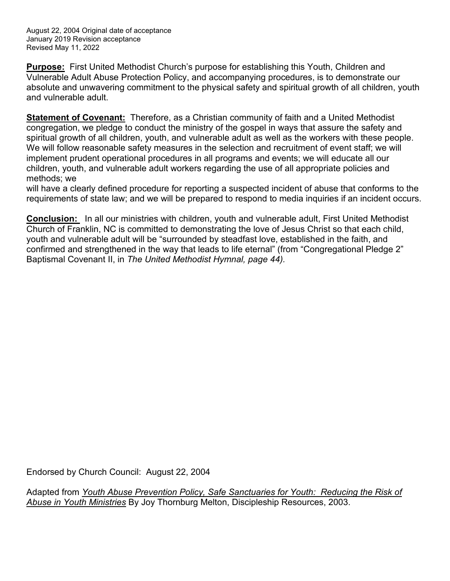**Purpose:** First United Methodist Church's purpose for establishing this Youth, Children and Vulnerable Adult Abuse Protection Policy, and accompanying procedures, is to demonstrate our absolute and unwavering commitment to the physical safety and spiritual growth of all children, youth and vulnerable adult.

**Statement of Covenant:** Therefore, as a Christian community of faith and a United Methodist congregation, we pledge to conduct the ministry of the gospel in ways that assure the safety and spiritual growth of all children, youth, and vulnerable adult as well as the workers with these people. We will follow reasonable safety measures in the selection and recruitment of event staff; we will implement prudent operational procedures in all programs and events; we will educate all our children, youth, and vulnerable adult workers regarding the use of all appropriate policies and methods; we

will have a clearly defined procedure for reporting a suspected incident of abuse that conforms to the requirements of state law; and we will be prepared to respond to media inquiries if an incident occurs.

**Conclusion:** In all our ministries with children, youth and vulnerable adult, First United Methodist Church of Franklin, NC is committed to demonstrating the love of Jesus Christ so that each child, youth and vulnerable adult will be "surrounded by steadfast love, established in the faith, and confirmed and strengthened in the way that leads to life eternal" (from "Congregational Pledge 2" Baptismal Covenant II, in *The United Methodist Hymnal, page 44).*

Endorsed by Church Council: August 22, 2004

Adapted from *Youth Abuse Prevention Policy, Safe Sanctuaries for Youth: Reducing the Risk of Abuse in Youth Ministries* By Joy Thornburg Melton, Discipleship Resources, 2003.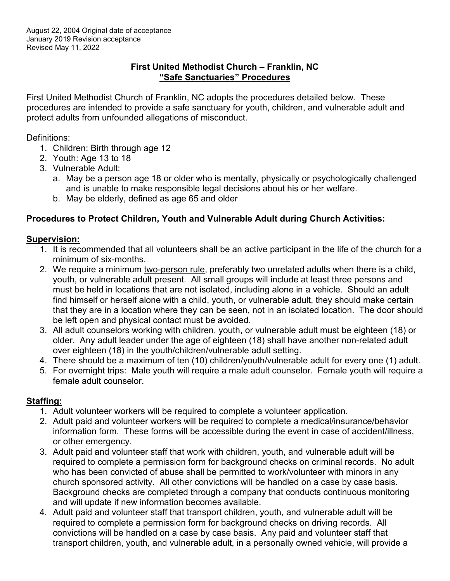### **First United Methodist Church – Franklin, NC "Safe Sanctuaries" Procedures**

First United Methodist Church of Franklin, NC adopts the procedures detailed below. These procedures are intended to provide a safe sanctuary for youth, children, and vulnerable adult and protect adults from unfounded allegations of misconduct.

Definitions:

- 1. Children: Birth through age 12
- 2. Youth: Age 13 to 18
- 3. Vulnerable Adult:
	- a. May be a person age 18 or older who is mentally, physically or psychologically challenged and is unable to make responsible legal decisions about his or her welfare.
	- b. May be elderly, defined as age 65 and older

## **Procedures to Protect Children, Youth and Vulnerable Adult during Church Activities:**

## **Supervision:**

- 1. It is recommended that all volunteers shall be an active participant in the life of the church for a minimum of six-months.
- 2. We require a minimum two-person rule, preferably two unrelated adults when there is a child, youth, or vulnerable adult present. All small groups will include at least three persons and must be held in locations that are not isolated, including alone in a vehicle. Should an adult find himself or herself alone with a child, youth, or vulnerable adult, they should make certain that they are in a location where they can be seen, not in an isolated location. The door should be left open and physical contact must be avoided.
- 3. All adult counselors working with children, youth, or vulnerable adult must be eighteen (18) or older. Any adult leader under the age of eighteen (18) shall have another non-related adult over eighteen (18) in the youth/children/vulnerable adult setting.
- 4. There should be a maximum of ten (10) children/youth/vulnerable adult for every one (1) adult.
- 5. For overnight trips: Male youth will require a male adult counselor. Female youth will require a female adult counselor.

# **Staffing:**

- 1. Adult volunteer workers will be required to complete a volunteer application.
- 2. Adult paid and volunteer workers will be required to complete a medical/insurance/behavior information form. These forms will be accessible during the event in case of accident/illness, or other emergency.
- 3. Adult paid and volunteer staff that work with children, youth, and vulnerable adult will be required to complete a permission form for background checks on criminal records. No adult who has been convicted of abuse shall be permitted to work/volunteer with minors in any church sponsored activity. All other convictions will be handled on a case by case basis. Background checks are completed through a company that conducts continuous monitoring and will update if new information becomes available.
- 4. Adult paid and volunteer staff that transport children, youth, and vulnerable adult will be required to complete a permission form for background checks on driving records. All convictions will be handled on a case by case basis. Any paid and volunteer staff that transport children, youth, and vulnerable adult, in a personally owned vehicle, will provide a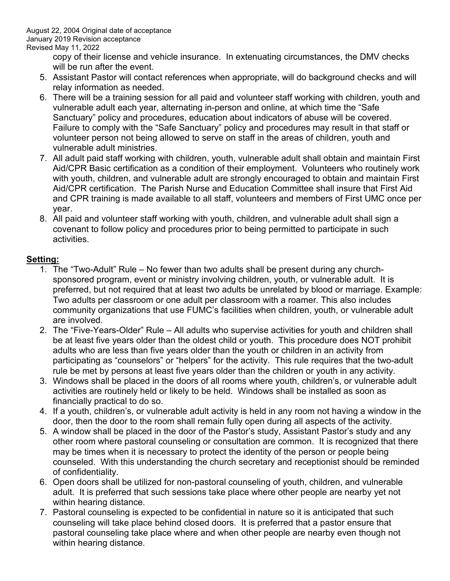copy of their license and vehicle insurance. In extenuating circumstances, the DMV checks will be run after the event.

- 5. Assistant Pastor will contact references when appropriate, will do background checks and will relay information as needed.
- 6. There will be a training session for all paid and volunteer staff working with children, youth and vulnerable adult each year, alternating in-person and online, at which time the "Safe Sanctuary" policy and procedures, education about indicators of abuse will be covered. Failure to comply with the "Safe Sanctuary" policy and procedures may result in that staff or volunteer person not being allowed to serve on staff in the areas of children, youth and vulnerable adult ministries.
- 7. All adult paid staff working with children, youth, vulnerable adult shall obtain and maintain First Aid/CPR Basic certification as a condition of their employment. Volunteers who routinely work with youth, children, and vulnerable adult are strongly encouraged to obtain and maintain First Aid/CPR certification. The Parish Nurse and Education Committee shall insure that First Aid and CPR training is made available to all staff, volunteers and members of First UMC once per year.
- 8. All paid and volunteer staff working with youth, children, and vulnerable adult shall sign a covenant to follow policy and procedures prior to being permitted to participate in such activities.

# **Setting:**

- 1. The "Two-Adult" Rule No fewer than two adults shall be present during any churchsponsored program, event or ministry involving children, youth, or vulnerable adult. It is preferred, but not required that at least two adults be unrelated by blood or marriage. Example: Two adults per classroom or one adult per classroom with a roamer*.* This also includes community organizations that use FUMC's facilities when children, youth, or vulnerable adult are involved*.*
- 2. The "Five-Years-Older" Rule All adults who supervise activities for youth and children shall be at least five years older than the oldest child or youth. This procedure does NOT prohibit adults who are less than five years older than the youth or children in an activity from participating as "counselors" or "helpers" for the activity. This rule requires that the two-adult rule be met by persons at least five years older than the children or youth in any activity.
- 3. Windows shall be placed in the doors of all rooms where youth, children's, or vulnerable adult activities are routinely held or likely to be held. Windows shall be installed as soon as financially practical to do so.
- 4. If a youth, children's, or vulnerable adult activity is held in any room not having a window in the door, then the door to the room shall remain fully open during all aspects of the activity.
- 5. A window shall be placed in the door of the Pastor's study, Assistant Pastor's study and any other room where pastoral counseling or consultation are common. It is recognized that there may be times when it is necessary to protect the identity of the person or people being counseled. With this understanding the church secretary and receptionist should be reminded of confidentiality.
- 6. Open doors shall be utilized for non-pastoral counseling of youth, children, and vulnerable adult. It is preferred that such sessions take place where other people are nearby yet not within hearing distance.
- 7. Pastoral counseling is expected to be confidential in nature so it is anticipated that such counseling will take place behind closed doors. It is preferred that a pastor ensure that pastoral counseling take place where and when other people are nearby even though not within hearing distance.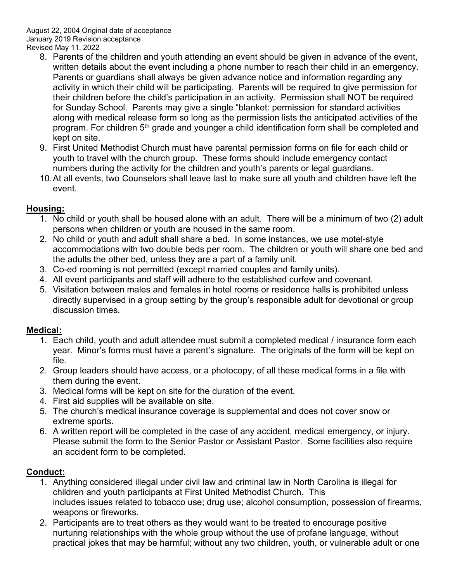August 22, 2004 Original date of acceptance January 2019 Revision acceptance Revised May 11, 2022

- 8. Parents of the children and youth attending an event should be given in advance of the event, written details about the event including a phone number to reach their child in an emergency. Parents or guardians shall always be given advance notice and information regarding any activity in which their child will be participating. Parents will be required to give permission for their children before the child's participation in an activity. Permission shall NOT be required for Sunday School. Parents may give a single "blanket: permission for standard activities along with medical release form so long as the permission lists the anticipated activities of the program. For children 5<sup>th</sup> grade and younger a child identification form shall be completed and kept on site.
- 9. First United Methodist Church must have parental permission forms on file for each child or youth to travel with the church group. These forms should include emergency contact numbers during the activity for the children and youth's parents or legal guardians.
- 10.At all events, two Counselors shall leave last to make sure all youth and children have left the event.

## **Housing:**

- 1. No child or youth shall be housed alone with an adult. There will be a minimum of two (2) adult persons when children or youth are housed in the same room.
- 2. No child or youth and adult shall share a bed. In some instances, we use motel-style accommodations with two double beds per room. The children or youth will share one bed and the adults the other bed, unless they are a part of a family unit.
- 3. Co-ed rooming is not permitted (except married couples and family units).
- 4. All event participants and staff will adhere to the established curfew and covenant.
- 5. Visitation between males and females in hotel rooms or residence halls is prohibited unless directly supervised in a group setting by the group's responsible adult for devotional or group discussion times.

### **Medical:**

- 1. Each child, youth and adult attendee must submit a completed medical / insurance form each year. Minor's forms must have a parent's signature. The originals of the form will be kept on file.
- 2. Group leaders should have access, or a photocopy, of all these medical forms in a file with them during the event.
- 3. Medical forms will be kept on site for the duration of the event.
- 4. First aid supplies will be available on site.
- 5. The church's medical insurance coverage is supplemental and does not cover snow or extreme sports.
- 6. A written report will be completed in the case of any accident, medical emergency, or injury. Please submit the form to the Senior Pastor or Assistant Pastor. Some facilities also require an accident form to be completed.

# **Conduct:**

- 1. Anything considered illegal under civil law and criminal law in North Carolina is illegal for children and youth participants at First United Methodist Church. This includes issues related to tobacco use; drug use; alcohol consumption, possession of firearms, weapons or fireworks.
- 2. Participants are to treat others as they would want to be treated to encourage positive nurturing relationships with the whole group without the use of profane language, without practical jokes that may be harmful; without any two children, youth, or vulnerable adult or one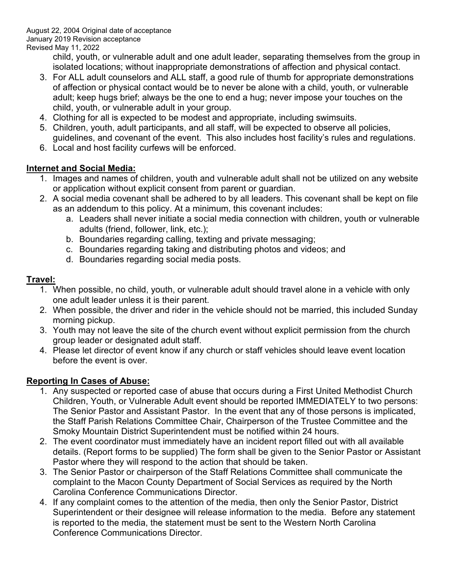child, youth, or vulnerable adult and one adult leader, separating themselves from the group in isolated locations; without inappropriate demonstrations of affection and physical contact.

- 3. For ALL adult counselors and ALL staff, a good rule of thumb for appropriate demonstrations of affection or physical contact would be to never be alone with a child, youth, or vulnerable adult; keep hugs brief; always be the one to end a hug; never impose your touches on the child, youth, or vulnerable adult in your group.
- 4. Clothing for all is expected to be modest and appropriate, including swimsuits.
- 5. Children, youth, adult participants, and all staff, will be expected to observe all policies, guidelines, and covenant of the event. This also includes host facility's rules and regulations.
- 6. Local and host facility curfews will be enforced.

### **Internet and Social Media:**

- 1. Images and names of children, youth and vulnerable adult shall not be utilized on any website or application without explicit consent from parent or guardian.
- 2. A social media covenant shall be adhered to by all leaders. This covenant shall be kept on file as an addendum to this policy. At a minimum, this covenant includes:
	- a. Leaders shall never initiate a social media connection with children, youth or vulnerable adults (friend, follower, link, etc.);
	- b. Boundaries regarding calling, texting and private messaging;
	- c. Boundaries regarding taking and distributing photos and videos; and
	- d. Boundaries regarding social media posts.

### **Travel:**

- 1. When possible, no child, youth, or vulnerable adult should travel alone in a vehicle with only one adult leader unless it is their parent.
- 2. When possible, the driver and rider in the vehicle should not be married, this included Sunday morning pickup.
- 3. Youth may not leave the site of the church event without explicit permission from the church group leader or designated adult staff.
- 4. Please let director of event know if any church or staff vehicles should leave event location before the event is over.

# **Reporting In Cases of Abuse:**

- 1. Any suspected or reported case of abuse that occurs during a First United Methodist Church Children, Youth, or Vulnerable Adult event should be reported IMMEDIATELY to two persons: The Senior Pastor and Assistant Pastor. In the event that any of those persons is implicated, the Staff Parish Relations Committee Chair, Chairperson of the Trustee Committee and the Smoky Mountain District Superintendent must be notified within 24 hours.
- 2. The event coordinator must immediately have an incident report filled out with all available details. (Report forms to be supplied) The form shall be given to the Senior Pastor or Assistant Pastor where they will respond to the action that should be taken.
- 3. The Senior Pastor or chairperson of the Staff Relations Committee shall communicate the complaint to the Macon County Department of Social Services as required by the North Carolina Conference Communications Director.
- 4. If any complaint comes to the attention of the media, then only the Senior Pastor, District Superintendent or their designee will release information to the media. Before any statement is reported to the media, the statement must be sent to the Western North Carolina Conference Communications Director.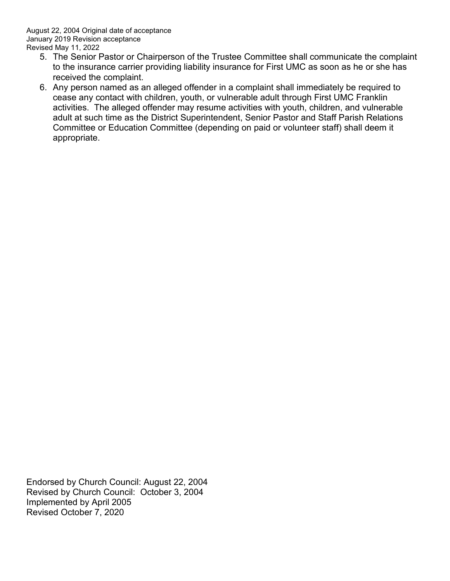- 5. The Senior Pastor or Chairperson of the Trustee Committee shall communicate the complaint to the insurance carrier providing liability insurance for First UMC as soon as he or she has received the complaint.
- 6. Any person named as an alleged offender in a complaint shall immediately be required to cease any contact with children, youth, or vulnerable adult through First UMC Franklin activities. The alleged offender may resume activities with youth, children, and vulnerable adult at such time as the District Superintendent, Senior Pastor and Staff Parish Relations Committee or Education Committee (depending on paid or volunteer staff) shall deem it appropriate.

Endorsed by Church Council: August 22, 2004 Revised by Church Council: October 3, 2004 Implemented by April 2005 Revised October 7, 2020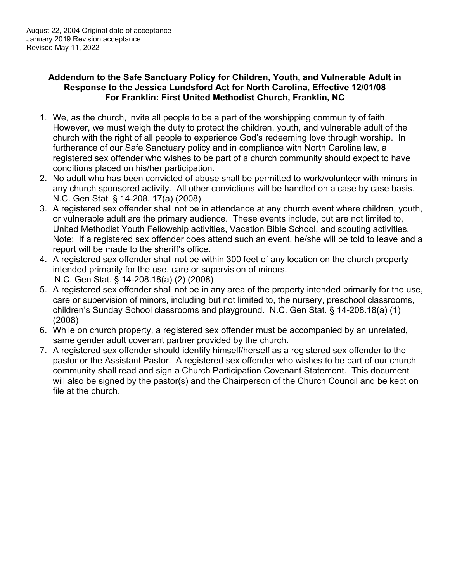### **Addendum to the Safe Sanctuary Policy for Children, Youth, and Vulnerable Adult in Response to the Jessica Lundsford Act for North Carolina, Effective 12/01/08 For Franklin: First United Methodist Church, Franklin, NC**

- 1. We, as the church, invite all people to be a part of the worshipping community of faith. However, we must weigh the duty to protect the children, youth, and vulnerable adult of the church with the right of all people to experience God's redeeming love through worship. In furtherance of our Safe Sanctuary policy and in compliance with North Carolina law, a registered sex offender who wishes to be part of a church community should expect to have conditions placed on his/her participation.
- 2. No adult who has been convicted of abuse shall be permitted to work/volunteer with minors in any church sponsored activity. All other convictions will be handled on a case by case basis. N.C. Gen Stat. § 14-208. 17(a) (2008)
- 3. A registered sex offender shall not be in attendance at any church event where children, youth, or vulnerable adult are the primary audience. These events include, but are not limited to, United Methodist Youth Fellowship activities, Vacation Bible School, and scouting activities. Note: If a registered sex offender does attend such an event, he/she will be told to leave and a report will be made to the sheriff's office.
- 4. A registered sex offender shall not be within 300 feet of any location on the church property intended primarily for the use, care or supervision of minors. N.C. Gen Stat. § 14-208.18(a) (2) (2008)
- 5. A registered sex offender shall not be in any area of the property intended primarily for the use, care or supervision of minors, including but not limited to, the nursery, preschool classrooms, children's Sunday School classrooms and playground. N.C. Gen Stat. § 14-208.18(a) (1) (2008)
- 6. While on church property, a registered sex offender must be accompanied by an unrelated, same gender adult covenant partner provided by the church.
- 7. A registered sex offender should identify himself/herself as a registered sex offender to the pastor or the Assistant Pastor. A registered sex offender who wishes to be part of our church community shall read and sign a Church Participation Covenant Statement. This document will also be signed by the pastor(s) and the Chairperson of the Church Council and be kept on file at the church.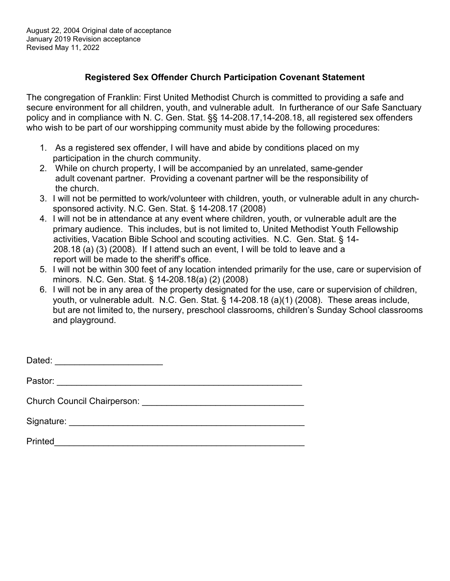### **Registered Sex Offender Church Participation Covenant Statement**

The congregation of Franklin: First United Methodist Church is committed to providing a safe and secure environment for all children, youth, and vulnerable adult. In furtherance of our Safe Sanctuary policy and in compliance with N. C. Gen. Stat. §§ 14-208.17,14-208.18, all registered sex offenders who wish to be part of our worshipping community must abide by the following procedures:

- 1. As a registered sex offender, I will have and abide by conditions placed on my participation in the church community.
- 2. While on church property, I will be accompanied by an unrelated, same-gender adult covenant partner. Providing a covenant partner will be the responsibility of the church.
- 3. I will not be permitted to work/volunteer with children, youth, or vulnerable adult in any churchsponsored activity. N.C. Gen. Stat. § 14-208.17 (2008)
- 4. I will not be in attendance at any event where children, youth, or vulnerable adult are the primary audience. This includes, but is not limited to, United Methodist Youth Fellowship activities, Vacation Bible School and scouting activities. N.C. Gen. Stat. § 14- 208.18 (a) (3) (2008). If I attend such an event, I will be told to leave and a report will be made to the sheriff's office.
- 5. I will not be within 300 feet of any location intended primarily for the use, care or supervision of minors. N.C. Gen. Stat. § 14-208.18(a) (2) (2008)
- 6. I will not be in any area of the property designated for the use, care or supervision of children, youth, or vulnerable adult. N.C. Gen. Stat. § 14-208.18 (a)(1) (2008). These areas include, but are not limited to, the nursery, preschool classrooms, children's Sunday School classrooms and playground.

| Dated: ________________________                   |  |
|---------------------------------------------------|--|
| Pastor: ________________________________          |  |
| Church Council Chairperson: Church Church Council |  |
| Signature: _________________________________      |  |
| Printed                                           |  |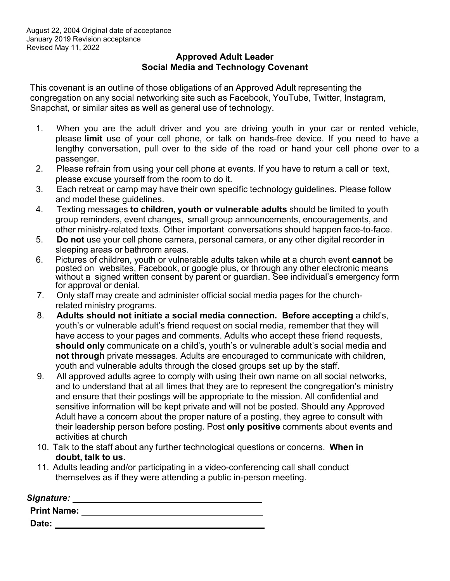#### **Approved Adult Leader Social Media and Technology Covenant**

This covenant is an outline of those obligations of an Approved Adult representing the congregation on any social networking site such as Facebook, YouTube, Twitter, Instagram, Snapchat, or similar sites as well as general use of technology.

- 1. When you are the adult driver and you are driving youth in your car or rented vehicle, please **limit** use of your cell phone, or talk on hands-free device. If you need to have a lengthy conversation, pull over to the side of the road or hand your cell phone over to a passenger.
- 2. Please refrain from using your cell phone at events. If you have to return a call or text, please excuse yourself from the room to do it.
- 3. Each retreat or camp may have their own specific technology guidelines. Please follow and model these guidelines.
- 4. Texting messages **to children, youth or vulnerable adults** should be limited to youth group reminders, event changes, small group announcements, encouragements, and other ministry-related texts. Other important conversations should happen face-to-face.
- 5. **Do not** use your cell phone camera, personal camera, or any other digital recorder in sleeping areas or bathroom areas.
- 6. Pictures of children, youth or vulnerable adults taken while at a church event **cannot** be posted on websites, Facebook, or google plus, or through any other electronic means without a signed written consent by parent or guardian. See individual's emergency form for approval or denial.
- 7. Only staff may create and administer official social media pages for the churchrelated ministry programs.
- 8. **Adults should not initiate a social media connection. Before accepting** a child's, youth's or vulnerable adult's friend request on social media, remember that they will have access to your pages and comments. Adults who accept these friend requests, **should only** communicate on a child's, youth's or vulnerable adult's social media and **not through** private messages. Adults are encouraged to communicate with children, youth and vulnerable adults through the closed groups set up by the staff.
- 9. All approved adults agree to comply with using their own name on all social networks, and to understand that at all times that they are to represent the congregation's ministry and ensure that their postings will be appropriate to the mission. All confidential and sensitive information will be kept private and will not be posted. Should any Approved Adult have a concern about the proper nature of a posting, they agree to consult with their leadership person before posting. Post **only positive** comments about events and activities at church
- 10. Talk to the staff about any further technological questions or concerns. **When in doubt, talk to us.**
- 11. Adults leading and/or participating in a video-conferencing call shall conduct themselves as if they were attending a public in-person meeting.

| Signature:         |  |
|--------------------|--|
| <b>Print Name:</b> |  |
| Date:              |  |